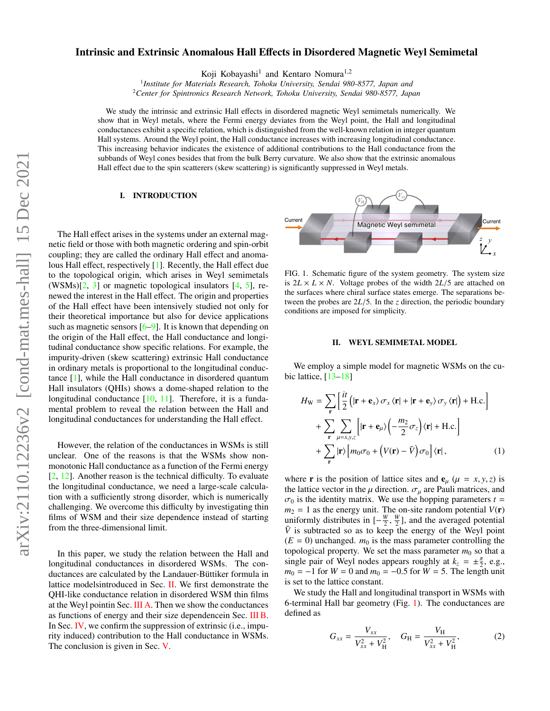# Intrinsic and Extrinsic Anomalous Hall Effects in Disordered Magnetic Weyl Semimetal

Koji Kobayashi<sup>1</sup> and Kentaro Nomura<sup>1,2</sup>

<sup>1</sup> Institute for Materials Research, Tohoku University, Sendai 980-8577, Japan and

<sup>2</sup>*Center for Spintronics Research Network, Tohoku University, Sendai 980-8577, Japan*

We study the intrinsic and extrinsic Hall effects in disordered magnetic Weyl semimetals numerically. We show that in Weyl metals, where the Fermi energy deviates from the Weyl point, the Hall and longitudinal conductances exhibit a specific relation, which is distinguished from the well-known relation in integer quantum Hall systems. Around the Weyl point, the Hall conductance increases with increasing longitudinal conductance. This increasing behavior indicates the existence of additional contributions to the Hall conductance from the subbands of Weyl cones besides that from the bulk Berry curvature. We also show that the extrinsic anomalous Hall effect due to the spin scatterers (skew scattering) is significantly suppressed in Weyl metals.

## I. INTRODUCTION

The Hall effect arises in the systems under an external magnetic field or those with both magnetic ordering and spin-orbit coupling; they are called the ordinary Hall effect and anomalous Hall effect, respectively [\[1\]](#page-4-0). Recently, the Hall effect due to the topological origin, which arises in Weyl semimetals  $(WSMs)[2, 3]$  $(WSMs)[2, 3]$  $(WSMs)[2, 3]$  $(WSMs)[2, 3]$  or magnetic topological insulators  $[4, 5]$  $[4, 5]$  $[4, 5]$ , renewed the interest in the Hall effect. The origin and properties of the Hall effect have been intensively studied not only for their theoretical importance but also for device applications such as magnetic sensors  $[6-9]$  $[6-9]$ . It is known that depending on the origin of the Hall effect, the Hall conductance and longitudinal conductance show specific relations. For example, the impurity-driven (skew scattering) extrinsic Hall conductance in ordinary metals is proportional to the longitudinal conductance [\[1\]](#page-4-0), while the Hall conductance in disordered quantum Hall insulators (QHIs) shows a dome-shaped relation to the longitudinal conductance [\[10,](#page-4-7) [11\]](#page-4-8). Therefore, it is a fundamental problem to reveal the relation between the Hall and longitudinal conductances for understanding the Hall effect.

However, the relation of the conductances in WSMs is still unclear. One of the reasons is that the WSMs show nonmonotonic Hall conductance as a function of the Fermi energy [\[2,](#page-4-1) [12\]](#page-4-9). Another reason is the technical difficulty. To evaluate the longitudinal conductance, we need a large-scale calculation with a sufficiently strong disorder, which is numerically challenging. We overcome this difficulty by investigating thin films of WSM and their size dependence instead of starting from the three-dimensional limit.

In this paper, we study the relation between the Hall and longitudinal conductances in disordered WSMs. The conductances are calculated by the Landauer-Büttiker formula in lattice modelsintroduced in Sec. [II.](#page-0-0) We first demonstrate the QHI-like conductance relation in disordered WSM thin films at the Weyl pointin Sec. [III A.](#page-1-0) Then we show the conductances as functions of energy and their size dependencein Sec. [III B.](#page-1-1) In Sec. [IV,](#page-2-0) we confirm the suppression of extrinsic (i.e., impurity induced) contribution to the Hall conductance in WSMs. The conclusion is given in Sec. [V.](#page-4-10)



<span id="page-0-1"></span>FIG. 1. Schematic figure of the system geometry. The system size is  $2L \times L \times N$ . Voltage probes of the width  $2L/5$  are attached on the surfaces where chiral surface states emerge. The separations between the probes are  $2L/5$ . In the *z* direction, the periodic boundary conditions are imposed for simplicity.

### <span id="page-0-0"></span>II. WEYL SEMIMETAL MODEL

We employ a simple model for magnetic WSMs on the cubic lattice, [\[13](#page-4-11)[–18\]](#page-4-12)

$$
H_{\rm W} = \sum_{\mathbf{r}} \left[ \frac{it}{2} \left( |\mathbf{r} + \mathbf{e}_{x} \rangle \sigma_{x} \langle \mathbf{r}| + |\mathbf{r} + \mathbf{e}_{y} \rangle \sigma_{y} \langle \mathbf{r}| \right) + \text{H.c.} \right] + \sum_{\mathbf{r}} \sum_{\mu = x, y, z} \left[ |\mathbf{r} + \mathbf{e}_{\mu} \rangle \left( -\frac{m_{2}}{2} \sigma_{z} \right) \langle \mathbf{r}| + \text{H.c.} \right] + \sum_{\mathbf{r}} |\mathbf{r} \rangle \left[ m_{0} \sigma_{0} + \left( V(\mathbf{r}) - \bar{V} \right) \sigma_{0} \right] \langle \mathbf{r}|, \tag{1}
$$

where **r** is the position of lattice sites and  $e_{\mu}$  ( $\mu = x, y, z$ ) is the lattice vector in the  $\mu$  direction.  $\sigma_{\mu}$  are Pauli matrices, and  $\sigma_0$  is the identity matrix. We use the hopping parameters  $t =$  $m_2 = 1$  as the energy unit. The on-site random potential  $V(\mathbf{r})$ uniformly distributes in  $[-\frac{W}{2}, \frac{W}{2}]$ , and the averaged potential  $\overline{V}$  is subtracted so as to keep the energy of the Weyl point  $(E = 0)$  unchanged.  $m_0$  is the mass parameter controlling the topological property. We set the mass parameter  $m_0$  so that a single pair of Weyl nodes appears roughly at  $k_z = \pm \frac{\pi}{2}$ , e.g., *m*<sub>0</sub> = −1 for *W* = 0 and *m*<sub>0</sub> = −0.5 for *W* = 5. The length unit is set to the lattice constant.

We study the Hall and longitudinal transport in WSMs with 6-terminal Hall bar geometry (Fig. [1\)](#page-0-1). The conductances are defined as

$$
G_{xx} = \frac{V_{xx}}{V_{xx}^2 + V_H^2}, \quad G_H = \frac{V_H}{V_{xx}^2 + V_H^2},
$$
 (2)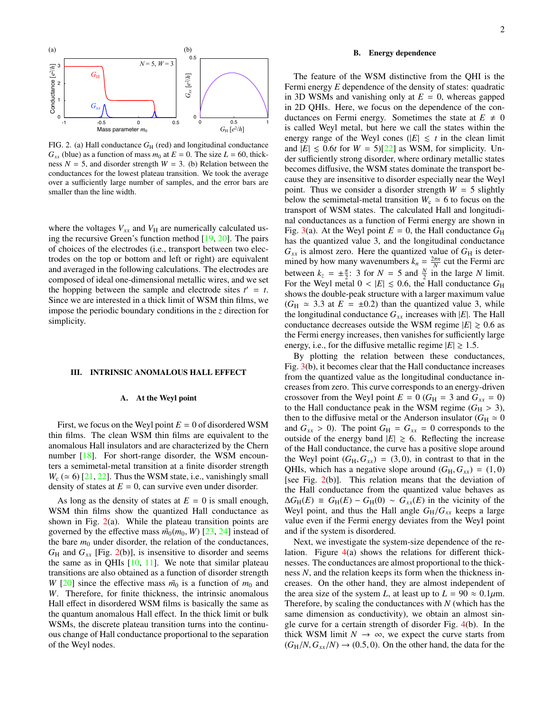

<span id="page-1-2"></span>FIG. 2. (a) Hall conductance  $G_H$  (red) and longitudinal conductance  $G_{xx}$  (blue) as a function of mass  $m_0$  at  $E = 0$ . The size  $L = 60$ , thickness  $N = 5$ , and disorder strength  $W = 3$ . (b) Relation between the conductances for the lowest plateau transition. We took the average over a sufficiently large number of samples, and the error bars are smaller than the line width.

where the voltages  $V_{xx}$  and  $V_{H}$  are numerically calculated using the recursive Green's function method [\[19,](#page-4-13) [20\]](#page-4-14). The pairs of choices of the electrodes (i.e., transport between two electrodes on the top or bottom and left or right) are equivalent and averaged in the following calculations. The electrodes are composed of ideal one-dimensional metallic wires, and we set the hopping between the sample and electrode sites  $t' = t$ . Since we are interested in a thick limit of WSM thin films, we impose the periodic boundary conditions in the *z* direction for simplicity.

#### III. INTRINSIC ANOMALOUS HALL EFFECT

## <span id="page-1-0"></span>A. At the Weyl point

First, we focus on the Weyl point  $E = 0$  of disordered WSM thin films. The clean WSM thin films are equivalent to the anomalous Hall insulators and are characterized by the Chern number [\[18\]](#page-4-12). For short-range disorder, the WSM encounters a semimetal-metal transition at a finite disorder strength  $W_c$  ( $\simeq$  6) [\[21,](#page-4-15) [22\]](#page-4-16). Thus the WSM state, i.e., vanishingly small density of states at  $E = 0$ , can survive even under disorder.

As long as the density of states at  $E = 0$  is small enough, WSM thin films show the quantized Hall conductance as shown in Fig.  $2(a)$  $2(a)$ . While the plateau transition points are governed by the effective mass  $\tilde{m}_0(m_0, W)$  [\[23,](#page-4-17) [24\]](#page-4-18) instead of the bare  $m_0$  under disorder, the relation of the conductances,  $G_H$  and  $G_{xx}$  [Fig. [2\(](#page-1-2)b)], is insensitive to disorder and seems the same as in QHIs  $[10, 11]$  $[10, 11]$  $[10, 11]$ . We note that similar plateau transitions are also obtained as a function of disorder strength *W* [\[20\]](#page-4-14) since the effective mass  $\tilde{m}_0$  is a function of  $m_0$  and *W*. Therefore, for finite thickness, the intrinsic anomalous Hall effect in disordered WSM films is basically the same as the quantum anomalous Hall effect. In the thick limit or bulk WSMs, the discrete plateau transition turns into the continuous change of Hall conductance proportional to the separation of the Weyl nodes.

### <span id="page-1-1"></span>B. Energy dependence

The feature of the WSM distinctive from the QHI is the Fermi energy *E* dependence of the density of states: quadratic in 3D WSMs and vanishing only at  $E = 0$ , whereas gapped in 2D QHIs. Here, we focus on the dependence of the conductances on Fermi energy. Sometimes the state at  $E \neq 0$ is called Weyl metal, but here we call the states within the energy range of the Weyl cones ( $|E| \leq t$  in the clean limit and  $|E| \le 0.6t$  for  $W = 5$ [\[22\]](#page-4-16) as WSM, for simplicity. Under sufficiently strong disorder, where ordinary metallic states becomes diffusive, the WSM states dominate the transport because they are insensitive to disorder especially near the Weyl point. Thus we consider a disorder strength  $W = 5$  slightly below the semimetal-metal transition  $W_c \approx 6$  to focus on the transport of WSM states. The calculated Hall and longitudinal conductances as a function of Fermi energy are shown in Fig. [3\(](#page-2-1)a). At the Weyl point  $E = 0$ , the Hall conductance  $G_H$ has the quantized value 3, and the longitudinal conductance  $G_{xx}$  is almost zero. Here the quantized value of  $G_H$  is determined by how many wavenumbers  $k_n = \frac{2\pi n}{N}$  cut the Fermi arc between  $k_z = \pm \frac{\pi}{2}$ : 3 for  $N = 5$  and  $\frac{N}{2}$  in the large *N* limit. For the Weyl metal  $0 < |E| \le 0.6$ , the Hall conductance  $G_H$ shows the double-peak structure with a larger maximum value  $(G_H \approx 3.3$  at  $E = \pm 0.2)$  than the quantized value 3, while the longitudinal conductance  $G_{xx}$  increases with  $|E|$ . The Hall conductance decreases outside the WSM regime  $|E| \ge 0.6$  as the Fermi energy increases, then vanishes for sufficiently large energy, i.e., for the diffusive metallic regime  $|E| \ge 1.5$ .

By plotting the relation between these conductances, Fig. [3\(](#page-2-1)b), it becomes clear that the Hall conductance increases from the quantized value as the longitudinal conductance increases from zero. This curve corresponds to an energy-driven crossover from the Weyl point  $E = 0$  ( $G_H = 3$  and  $G_{xx} = 0$ ) to the Hall conductance peak in the WSM regime  $(G_H > 3)$ , then to the diffusive metal or the Anderson insulator ( $G_H \simeq 0$ and  $G_{xx} > 0$ ). The point  $G_H = G_{xx} = 0$  corresponds to the outside of the energy band  $|E| \ge 6$ . Reflecting the increase of the Hall conductance, the curve has a positive slope around the Weyl point  $(G_H, G_{xx}) = (3, 0)$ , in contrast to that in the QHIs, which has a negative slope around  $(G_H, G_{xx}) = (1, 0)$ [see Fig. [2\(](#page-1-2)b)]. This relation means that the deviation of the Hall conductance from the quantized value behaves as  $\Delta G_{\rm H}(E) \equiv G_{\rm H}(E) - G_{\rm H}(0) \sim G_{xx}(E)$  in the vicinity of the Weyl point, and thus the Hall angle  $G_H/G_{xx}$  keeps a large value even if the Fermi energy deviates from the Weyl point and if the system is disordered.

Next, we investigate the system-size dependence of the relation. Figure [4\(](#page-2-2)a) shows the relations for different thicknesses. The conductances are almost proportional to the thickness *N*, and the relation keeps its form when the thickness increases. On the other hand, they are almost independent of the area size of the system *L*, at least up to  $L = 90 \approx 0.1 \mu$ m. Therefore, by scaling the conductances with *N* (which has the same dimension as conductivity), we obtain an almost single curve for a certain strength of disorder Fig. [4\(](#page-2-2)b). In the thick WSM limit  $N \to \infty$ , we expect the curve starts from  $(G_H/N, G_{xx}/N) \rightarrow (0.5, 0)$ . On the other hand, the data for the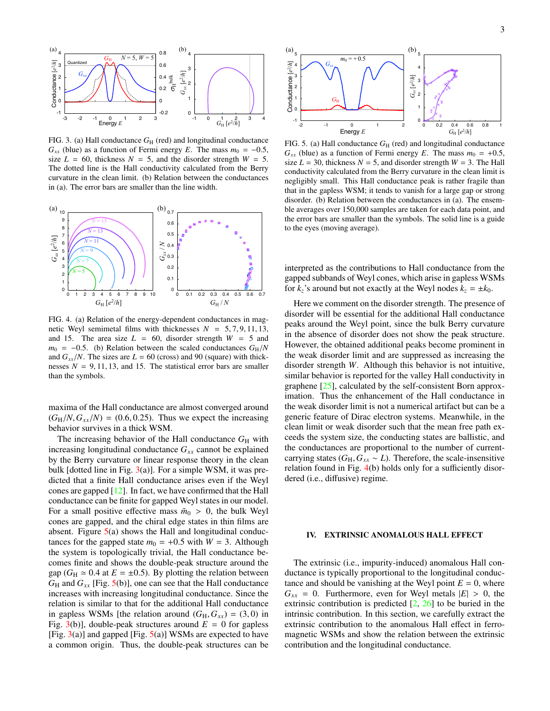

<span id="page-2-1"></span>FIG. 3. (a) Hall conductance  $G_H$  (red) and longitudinal conductance  $G_{xx}$  (blue) as a function of Fermi energy *E*. The mass  $m_0 = -0.5$ , size  $L = 60$ , thickness  $N = 5$ , and the disorder strength  $W = 5$ . The dotted line is the Hall conductivity calculated from the Berry curvature in the clean limit. (b) Relation between the conductances in (a). The error bars are smaller than the line width.



<span id="page-2-2"></span>FIG. 4. (a) Relation of the energy-dependent conductances in magnetic Weyl semimetal films with thicknesses  $N = 5, 7, 9, 11, 13$ , and 15. The area size  $L = 60$ , disorder strength  $W = 5$  and  $m_0$  = −0.5. (b) Relation between the scaled conductances  $G_H/N$ and  $G_{xx}/N$ . The sizes are  $L = 60$  (cross) and 90 (square) with thicknesses  $N = 9, 11, 13,$  and 15. The statistical error bars are smaller than the symbols.

maxima of the Hall conductance are almost converged around  $(G_H/N, G_{xx}/N) = (0.6, 0.25)$ . Thus we expect the increasing behavior survives in a thick WSM.

The increasing behavior of the Hall conductance  $G_H$  with increasing longitudinal conductance  $G_{xx}$  cannot be explained by the Berry curvature or linear response theory in the clean bulk [dotted line in Fig.  $3(a)$  $3(a)$ ]. For a simple WSM, it was predicted that a finite Hall conductance arises even if the Weyl cones are gapped [\[12\]](#page-4-9). In fact, we have confirmed that the Hall conductance can be finite for gapped Weyl states in our model. For a small positive effective mass  $\tilde{m}_0 > 0$ , the bulk Weyl cones are gapped, and the chiral edge states in thin films are absent. Figure [5\(](#page-2-3)a) shows the Hall and longitudinal conductances for the gapped state  $m_0 = +0.5$  with  $W = 3$ . Although the system is topologically trivial, the Hall conductance becomes finite and shows the double-peak structure around the gap ( $G_H \approx 0.4$  at  $E = \pm 0.5$ ). By plotting the relation between  $G_H$  and  $G_{xx}$  [Fig. [5\(](#page-2-3)b)], one can see that the Hall conductance increases with increasing longitudinal conductance. Since the relation is similar to that for the additional Hall conductance in gapless WSMs [the relation around  $(G_H, G_{xx}) = (3, 0)$  in Fig.  $3(b)$  $3(b)$ ], double-peak structures around  $E = 0$  for gapless [Fig.  $3(a)$  $3(a)$ ] and gapped [Fig.  $5(a)$  $5(a)$ ] WSMs are expected to have a common origin. Thus, the double-peak structures can be



<span id="page-2-3"></span>FIG. 5. (a) Hall conductance  $G_H$  (red) and longitudinal conductance  $G_{xx}$  (blue) as a function of Fermi energy *E*. The mass  $m_0 = +0.5$ , size  $L = 30$ , thickness  $N = 5$ , and disorder strength  $W = 3$ . The Hall conductivity calculated from the Berry curvature in the clean limit is negligibly small. This Hall conductance peak is rather fragile than that in the gapless WSM; it tends to vanish for a large gap or strong disorder. (b) Relation between the conductances in (a). The ensemble averages over 150,000 samples are taken for each data point, and the error bars are smaller than the symbols. The solid line is a guide to the eyes (moving average).

interpreted as the contributions to Hall conductance from the gapped subbands of Weyl cones, which arise in gapless WSMs for  $k_z$ 's around but not exactly at the Weyl nodes  $k_z = \pm k_0$ .

Here we comment on the disorder strength. The presence of disorder will be essential for the additional Hall conductance peaks around the Weyl point, since the bulk Berry curvature in the absence of disorder does not show the peak structure. However, the obtained additional peaks become prominent in the weak disorder limit and are suppressed as increasing the disorder strength *W*. Although this behavior is not intuitive, similar behavior is reported for the valley Hall conductivity in graphene [\[25\]](#page-4-19), calculated by the self-consistent Born approximation. Thus the enhancement of the Hall conductance in the weak disorder limit is not a numerical artifact but can be a generic feature of Dirac electron systems. Meanwhile, in the clean limit or weak disorder such that the mean free path exceeds the system size, the conducting states are ballistic, and the conductances are proportional to the number of currentcarrying states ( $G_H$ ,  $G_{xx} \sim L$ ). Therefore, the scale-insensitive relation found in Fig. [4\(](#page-2-2)b) holds only for a sufficiently disordered (i.e., diffusive) regime.

#### <span id="page-2-0"></span>IV. EXTRINSIC ANOMALOUS HALL EFFECT

The extrinsic (i.e., impurity-induced) anomalous Hall conductance is typically proportional to the longitudinal conductance and should be vanishing at the Weyl point  $E = 0$ , where  $G_{xx} = 0$ . Furthermore, even for Weyl metals  $|E| > 0$ , the extrinsic contribution is predicted  $[2, 26]$  $[2, 26]$  $[2, 26]$  to be buried in the intrinsic contribution. In this section, we carefully extract the extrinsic contribution to the anomalous Hall effect in ferromagnetic WSMs and show the relation between the extrinsic contribution and the longitudinal conductance.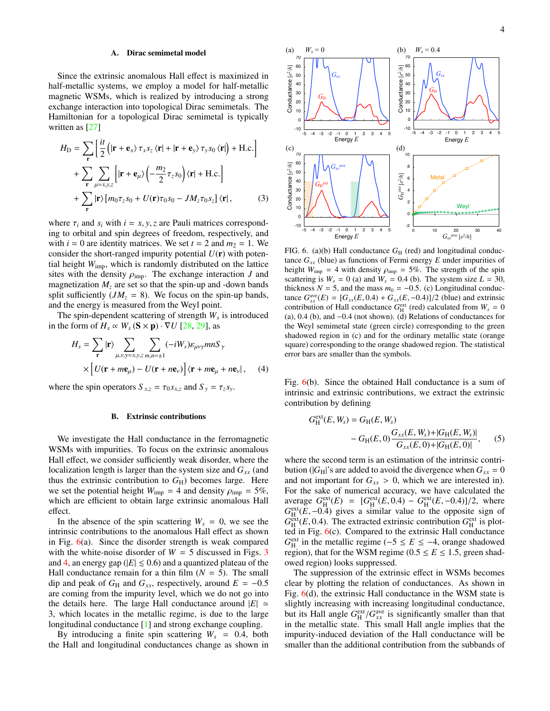#### A. Dirac semimetal model

Since the extrinsic anomalous Hall effect is maximized in half-metallic systems, we employ a model for half-metallic magnetic WSMs, which is realized by introducing a strong exchange interaction into topological Dirac semimetals. The Hamiltonian for a topological Dirac semimetal is typically written as [\[27\]](#page-4-21)

$$
H_{\rm D} = \sum_{\mathbf{r}} \left[ \frac{it}{2} \left( |\mathbf{r} + \mathbf{e}_{x} \rangle \tau_{x} s_{z} \langle \mathbf{r} | + | \mathbf{r} + \mathbf{e}_{y} \rangle \tau_{y} s_{0} \langle \mathbf{r} | \right) + \text{H.c.} \right]
$$
  
+ 
$$
\sum_{\mathbf{r}} \sum_{\mu = x, y, z} \left[ |\mathbf{r} + \mathbf{e}_{\mu} \rangle \left( -\frac{m_{2}}{2} \tau_{z} s_{0} \right) \langle \mathbf{r} | + \text{H.c.} \right]
$$
  
+ 
$$
\sum_{\mathbf{r}} |\mathbf{r} \rangle \left[ m_{0} \tau_{z} s_{0} + U(\mathbf{r}) \tau_{0} s_{0} - J M_{z} \tau_{0} s_{z} \right] \langle \mathbf{r} |, \tag{3}
$$

where  $\tau_i$  and  $s_i$  with  $i = x, y, z$  are Pauli matrices corresponding to orbital and spin degrees of freedom, respectively, and with  $i = 0$  are identity matrices. We set  $t = 2$  and  $m<sub>2</sub> = 1$ . We consider the short-ranged impurity potential  $U(\mathbf{r})$  with potential height *W*imp, which is randomly distributed on the lattice sites with the density  $\rho_{\text{imp}}$ . The exchange interaction *J* and magnetization  $M_z$  are set so that the spin-up and -down bands split sufficiently  $(JM_z = 8)$ . We focus on the spin-up bands, and the energy is measured from the Weyl point.

The spin-dependent scattering of strength *W<sup>s</sup>* is introduced in the form of  $H_s \propto W_s$  ( $S \times p$ ) ·  $\nabla U$  [\[28,](#page-5-0) [29\]](#page-5-1), as

$$
H_s = \sum_{\mathbf{r}} |\mathbf{r}\rangle \sum_{\mu,\nu,\gamma=x,y,z} \sum_{m,n=\pm 1} (-iW_s) \varepsilon_{\mu\nu\gamma} mnS_{\gamma}
$$
  
 
$$
\times \left[ U(\mathbf{r} + m\mathbf{e}_{\mu}) - U(\mathbf{r} + n\mathbf{e}_{\nu}) \right] \langle \mathbf{r} + m\mathbf{e}_{\mu} + n\mathbf{e}_{\nu} |, \quad (4)
$$

where the spin operators  $S_{x,z} = \tau_0 s_{x,z}$  and  $S_y = \tau_z s_y$ .

#### B. Extrinsic contributions

We investigate the Hall conductance in the ferromagnetic WSMs with impurities. To focus on the extrinsic anomalous Hall effect, we consider sufficiently weak disorder, where the localization length is larger than the system size and *Gxx* (and thus the extrinsic contribution to  $G_H$ ) becomes large. Here we set the potential height  $W_{\text{imp}} = 4$  and density  $\rho_{\text{imp}} = 5\%$ , which are efficient to obtain large extrinsic anomalous Hall effect.

In the absence of the spin scattering  $W_s = 0$ , we see the intrinsic contributions to the anomalous Hall effect as shown in Fig.  $6(a)$  $6(a)$ . Since the disorder strength is weak compared with the white-noise disorder of  $W = 5$  discussed in Figs. [3](#page-2-1) and [4,](#page-2-2) an energy gap ( $|E| \le 0.6$ ) and a quantized plateau of the Hall conductance remain for a thin film  $(N = 5)$ . The small dip and peak of  $G_H$  and  $G_{xx}$ , respectively, around  $E = -0.5$ are coming from the impurity level, which we do not go into the details here. The large Hall conductance around  $|E| \approx$ 3, which locates in the metallic regime, is due to the large longitudinal conductance [\[1\]](#page-4-0) and strong exchange coupling.

By introducing a finite spin scattering  $W_s = 0.4$ , both the Hall and longitudinal conductances change as shown in



<span id="page-3-0"></span>FIG. 6. (a)(b) Hall conductance  $G_H$  (red) and longitudinal conductance  $G_{xx}$  (blue) as functions of Fermi energy  $E$  under impurities of height  $W_{\text{imp}} = 4$  with density  $\rho_{\text{imp}} = 5\%$ . The strength of the spin scattering is  $W_s = 0$  (a) and  $W_s = 0.4$  (b). The system size  $L = 30$ , thickness  $N = 5$ , and the mass  $m_0 = -0.5$ . (c) Longitudinal conductance  $G_{xx}^{\text{ave}}(E) = [G_{xx}(E, 0.4) + G_{xx}(E, -0.4)]/2$  (blue) and extrinsic<br>contribution of Hall conductance  $G^{\text{ext}}$  (red) calculated from  $W = 0$ contribution of Hall conductance  $G<sub>H</sub><sup>ext</sup>$  (red) calculated from  $W<sub>s</sub> = 0$ (a), 0.4 (b), and <sup>−</sup>0.4 (not shown). (d) Relations of conductances for the Weyl semimetal state (green circle) corresponding to the green shadowed region in (c) and for the ordinary metallic state (orange square) corresponding to the orange shadowed region. The statistical error bars are smaller than the symbols.

Fig. [6\(](#page-3-0)b). Since the obtained Hall conductance is a sum of intrinsic and extrinsic contributions, we extract the extrinsic contribution by defining

$$
G_{\rm H}^{\rm ext}(E, W_s) = G_{\rm H}(E, W_s)
$$
  
- 
$$
G_{\rm H}(E, 0) \frac{G_{xx}(E, W_s) + |G_{\rm H}(E, W_s)|}{G_{xx}(E, 0) + |G_{\rm H}(E, 0)|},
$$
 (5)

where the second term is an estimation of the intrinsic contribution ( $|G_H|$ 's are added to avoid the divergence when  $G_{xx} = 0$ and not important for  $G_{xx} > 0$ , which we are interested in). For the sake of numerical accuracy, we have calculated the average  $G_{\text{H}}^{\text{ext}}(E) = [G_{\text{H}}^{\text{ext}}(E, 0.4) - G_{\text{H}}^{\text{ext}}(E, -0.4)]/2$ , where  $G_{\text{H}}^{\text{ext}}(E, -0.4)$  gives a similar value to the opposite sign of  $G_{\text{K}}^{\text{ext}}(F, 0.4)$ . The extracted extrinsic contribution  $G_{\text{K}}$  $G_H^{\text{ext}}(E, 0.4)$ . The extracted extrinsic contribution  $G_H^{\text{ext}}$  is plot-<br>ted in Fig. 6(c). Compared to the extrinsic Hall conductance ted in Fig. [6\(](#page-3-0)c). Compared to the extrinsic Hall conductance  $G_H^{\text{ext}}$  in the metallic regime (−5 ≤ *E* ≤ −4, orange shadowed region), that for the WSM regime ( $0.5 \le E \le 1.5$ , green shadowed region) looks suppressed.

The suppression of the extrinsic effect in WSMs becomes clear by plotting the relation of conductances. As shown in Fig. [6\(](#page-3-0)d), the extrinsic Hall conductance in the WSM state is slightly increasing with increasing longitudinal conductance, but its Hall angle  $G_H^{\text{ext}}/G_{xx}^{\text{ave}}$  is significantly smaller than that<br>in the metallic state. This small Hall angle implies that the in the metallic state. This small Hall angle implies that the impurity-induced deviation of the Hall conductance will be smaller than the additional contribution from the subbands of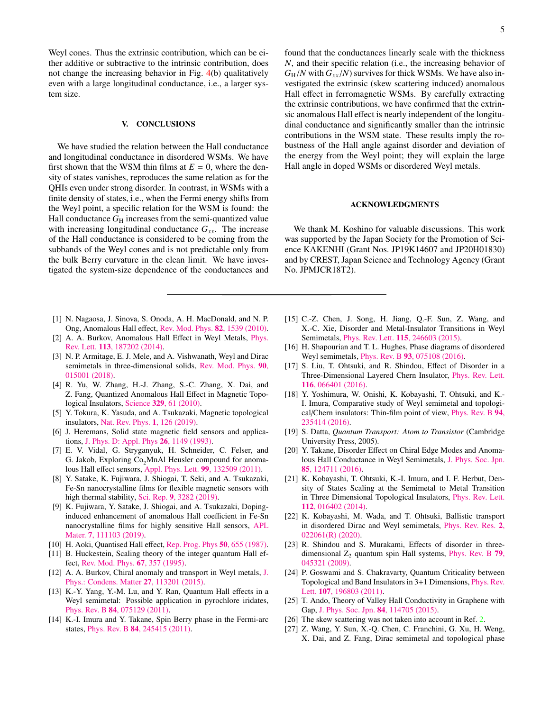Weyl cones. Thus the extrinsic contribution, which can be either additive or subtractive to the intrinsic contribution, does not change the increasing behavior in Fig. [4\(](#page-2-2)b) qualitatively even with a large longitudinal conductance, i.e., a larger system size.

## <span id="page-4-10"></span>V. CONCLUSIONS

We have studied the relation between the Hall conductance and longitudinal conductance in disordered WSMs. We have first shown that the WSM thin films at  $E = 0$ , where the density of states vanishes, reproduces the same relation as for the QHIs even under strong disorder. In contrast, in WSMs with a finite density of states, i.e., when the Fermi energy shifts from the Weyl point, a specific relation for the WSM is found: the Hall conductance  $G_H$  increases from the semi-quantized value with increasing longitudinal conductance  $G_{xx}$ . The increase of the Hall conductance is considered to be coming from the subbands of the Weyl cones and is not predictable only from the bulk Berry curvature in the clean limit. We have investigated the system-size dependence of the conductances and

- <span id="page-4-0"></span>[1] N. Nagaosa, J. Sinova, S. Onoda, A. H. MacDonald, and N. P. Ong, Anomalous Hall effect, [Rev. Mod. Phys.](http://dx.doi.org/10.1103/RevModPhys.82.1539) 82, 1539 (2010).
- <span id="page-4-1"></span>[2] A. A. Burkov, Anomalous Hall Effect in Weyl Metals, [Phys.](http://dx.doi.org/10.1103/PhysRevLett.113.187202) Rev. Lett. 113[, 187202 \(2014\).](http://dx.doi.org/10.1103/PhysRevLett.113.187202)
- <span id="page-4-2"></span>[3] N. P. Armitage, E. J. Mele, and A. Vishwanath, Weyl and Dirac semimetals in three-dimensional solids, [Rev. Mod. Phys.](http://dx.doi.org/10.1103/RevModPhys.90.015001) 90, [015001 \(2018\).](http://dx.doi.org/10.1103/RevModPhys.90.015001)
- <span id="page-4-3"></span>[4] R. Yu, W. Zhang, H.-J. Zhang, S.-C. Zhang, X. Dai, and Z. Fang, Quantized Anomalous Hall Effect in Magnetic Topological Insulators, Science 329[, 61 \(2010\).](http://dx.doi.org/10.1126/science.1187485)
- <span id="page-4-4"></span>[5] Y. Tokura, K. Yasuda, and A. Tsukazaki, Magnetic topological insulators, [Nat. Rev. Phys.](http://dx.doi.org/10.1038/s42254-018-0011-5) 1, 126 (2019).
- <span id="page-4-5"></span>[6] J. Heremans, Solid state magnetic field sensors and applications, [J. Phys. D: Appl. Phys](http://dx.doi.org/10.1088/0022-3727/26/8/001) 26, 1149 (1993).
- [7] E. V. Vidal, G. Stryganyuk, H. Schneider, C. Felser, and G. Jakob, Exploring  $Co<sub>2</sub>Mn$ Al Heusler compound for anomalous Hall effect sensors, [Appl. Phys. Lett.](http://dx.doi.org/10.1063/1.3644157) 99, 132509 (2011).
- [8] Y. Satake, K. Fujiwara, J. Shiogai, T. Seki, and A. Tsukazaki, Fe-Sn nanocrystalline films for flexible magnetic sensors with high thermal stability, Sci. Rep. 9[, 3282 \(2019\).](http://dx.doi.org/10.1038/s41598-019-39817-8)
- <span id="page-4-6"></span>[9] K. Fujiwara, Y. Satake, J. Shiogai, and A. Tsukazaki, Dopinginduced enhancement of anomalous Hall coefficient in Fe-Sn nanocrystalline films for highly sensitive Hall sensors, [APL](http://dx.doi.org/10.1063/1.5126499) Mater. **7**[, 111103 \(2019\).](http://dx.doi.org/10.1063/1.5126499)
- <span id="page-4-7"></span>[10] H. Aoki, Quantised Hall effect, [Rep. Prog. Phys](http://dx.doi.org/10.1088/0034-4885/50/6/002) 50, 655 (1987).
- <span id="page-4-8"></span>[11] B. Huckestein, Scaling theory of the integer quantum Hall effect, [Rev. Mod. Phys.](http://dx.doi.org/10.1103/RevModPhys.67.357) 67, 357 (1995).
- <span id="page-4-9"></span>[12] A. A. Burkov, Chiral anomaly and transport in Weyl metals, [J.](http://dx.doi.org/10.1088/0953-8984/27/11/113201) [Phys.: Condens. Matter](http://dx.doi.org/10.1088/0953-8984/27/11/113201) 27, 113201 (2015).
- <span id="page-4-11"></span>[13] K.-Y. Yang, Y.-M. Lu, and Y. Ran, Quantum Hall effects in a Weyl semimetal: Possible application in pyrochlore iridates, Phys. Rev. B 84[, 075129 \(2011\).](http://dx.doi.org/10.1103/PhysRevB.84.075129)
- [14] K.-I. Imura and Y. Takane, Spin Berry phase in the Fermi-arc states, Phys. Rev. B 84[, 245415 \(2011\).](http://dx.doi.org/10.1103/PhysRevB.84.245415)

found that the conductances linearly scale with the thickness *N*, and their specific relation (i.e., the increasing behavior of  $G_H/N$  with  $G_{xx}/N$ ) survives for thick WSMs. We have also investigated the extrinsic (skew scattering induced) anomalous Hall effect in ferromagnetic WSMs. By carefully extracting the extrinsic contributions, we have confirmed that the extrinsic anomalous Hall effect is nearly independent of the longitudinal conductance and significantly smaller than the intrinsic contributions in the WSM state. These results imply the robustness of the Hall angle against disorder and deviation of the energy from the Weyl point; they will explain the large Hall angle in doped WSMs or disordered Weyl metals.

### ACKNOWLEDGMENTS

We thank M. Koshino for valuable discussions. This work was supported by the Japan Society for the Promotion of Science KAKENHI (Grant Nos. JP19K14607 and JP20H01830) and by CREST, Japan Science and Technology Agency (Grant No. JPMJCR18T2).

- [15] C.-Z. Chen, J. Song, H. Jiang, Q.-F. Sun, Z. Wang, and X.-C. Xie, Disorder and Metal-Insulator Transitions in Weyl Semimetals, Phys. Rev. Lett. 115[, 246603 \(2015\).](http://dx.doi.org/10.1103/PhysRevLett.115.246603)
- [16] H. Shapourian and T. L. Hughes, Phase diagrams of disordered Weyl semimetals, Phys. Rev. B 93[, 075108 \(2016\).](http://dx.doi.org/10.1103/PhysRevB.93.075108)
- [17] S. Liu, T. Ohtsuki, and R. Shindou, Effect of Disorder in a Three-Dimensional Layered Chern Insulator, [Phys. Rev. Lett.](http://dx.doi.org/10.1103/PhysRevLett.116.066401) 116[, 066401 \(2016\).](http://dx.doi.org/10.1103/PhysRevLett.116.066401)
- <span id="page-4-12"></span>[18] Y. Yoshimura, W. Onishi, K. Kobayashi, T. Ohtsuki, and K.- I. Imura, Comparative study of Weyl semimetal and topological/Chern insulators: Thin-film point of view, [Phys. Rev. B](http://dx.doi.org/10.1103/PhysRevB.94.235414) 94, [235414 \(2016\).](http://dx.doi.org/10.1103/PhysRevB.94.235414)
- <span id="page-4-13"></span>[19] S. Datta, *Quantum Transport: Atom to Transistor* (Cambridge University Press, 2005).
- <span id="page-4-14"></span>[20] Y. Takane, Disorder Effect on Chiral Edge Modes and Anomalous Hall Conductance in Weyl Semimetals, [J. Phys. Soc. Jpn.](http://dx.doi.org/10.7566/JPSJ.85.124711) 85[, 124711 \(2016\).](http://dx.doi.org/10.7566/JPSJ.85.124711)
- <span id="page-4-15"></span>[21] K. Kobayashi, T. Ohtsuki, K.-I. Imura, and I. F. Herbut, Density of States Scaling at the Semimetal to Metal Transition in Three Dimensional Topological Insulators, [Phys. Rev. Lett.](http://dx.doi.org/10.1103/PhysRevLett.112.016402) 112[, 016402 \(2014\).](http://dx.doi.org/10.1103/PhysRevLett.112.016402)
- <span id="page-4-16"></span>[22] K. Kobayashi, M. Wada, and T. Ohtsuki, Ballistic transport in disordered Dirac and Weyl semimetals, [Phys. Rev. Res.](http://dx.doi.org/10.1103/PhysRevResearch.2.022061) 2, [022061\(R\) \(2020\).](http://dx.doi.org/10.1103/PhysRevResearch.2.022061)
- <span id="page-4-17"></span>[23] R. Shindou and S. Murakami, Effects of disorder in threedimensional  $Z_2$  quantum spin Hall systems, [Phys. Rev. B](http://dx.doi.org/10.1103/PhysRevB.79.045321) 79, [045321 \(2009\).](http://dx.doi.org/10.1103/PhysRevB.79.045321)
- <span id="page-4-18"></span>[24] P. Goswami and S. Chakravarty, Quantum Criticality between Topological and Band Insulators in 3+1 Dimensions, [Phys. Rev.](http://dx.doi.org/10.1103/PhysRevLett.107.196803) Lett. 107[, 196803 \(2011\).](http://dx.doi.org/10.1103/PhysRevLett.107.196803)
- <span id="page-4-19"></span>[25] T. Ando, Theory of Valley Hall Conductivity in Graphene with Gap, [J. Phys. Soc. Jpn.](http://dx.doi.org/10.7566/JPSJ.84.114705) 84, 114705 (2015).
- <span id="page-4-20"></span>[26] The skew scattering was not taken into account in Ref. [2.](#page-4-1)
- <span id="page-4-21"></span>[27] Z. Wang, Y. Sun, X.-Q. Chen, C. Franchini, G. Xu, H. Weng, X. Dai, and Z. Fang, Dirac semimetal and topological phase